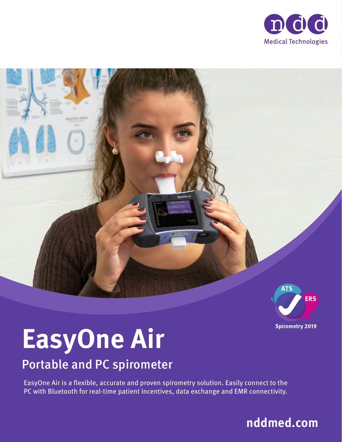





# **EasyOne Air**

### Portable and PC spirometer

EasyOne Air is a flexible, accurate and proven spirometry solution. Easily connect to the PC with Bluetooth for real-time patient incentives, data exchange and EMR connectivity.